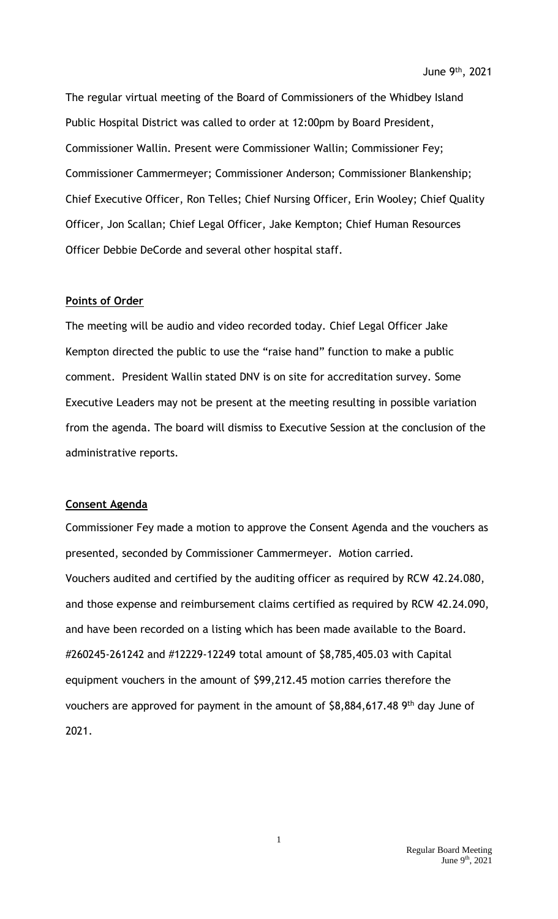The regular virtual meeting of the Board of Commissioners of the Whidbey Island Public Hospital District was called to order at 12:00pm by Board President, Commissioner Wallin. Present were Commissioner Wallin; Commissioner Fey; Commissioner Cammermeyer; Commissioner Anderson; Commissioner Blankenship; Chief Executive Officer, Ron Telles; Chief Nursing Officer, Erin Wooley; Chief Quality Officer, Jon Scallan; Chief Legal Officer, Jake Kempton; Chief Human Resources Officer Debbie DeCorde and several other hospital staff.

# **Points of Order**

The meeting will be audio and video recorded today. Chief Legal Officer Jake Kempton directed the public to use the "raise hand" function to make a public comment. President Wallin stated DNV is on site for accreditation survey. Some Executive Leaders may not be present at the meeting resulting in possible variation from the agenda. The board will dismiss to Executive Session at the conclusion of the administrative reports.

#### **Consent Agenda**

Commissioner Fey made a motion to approve the Consent Agenda and the vouchers as presented, seconded by Commissioner Cammermeyer. Motion carried. Vouchers audited and certified by the auditing officer as required by RCW 42.24.080, and those expense and reimbursement claims certified as required by RCW 42.24.090, and have been recorded on a listing which has been made available to the Board. #260245-261242 and #12229-12249 total amount of \$8,785,405.03 with Capital equipment vouchers in the amount of \$99,212.45 motion carries therefore the vouchers are approved for payment in the amount of \$8,884,617.48 9<sup>th</sup> day June of 2021.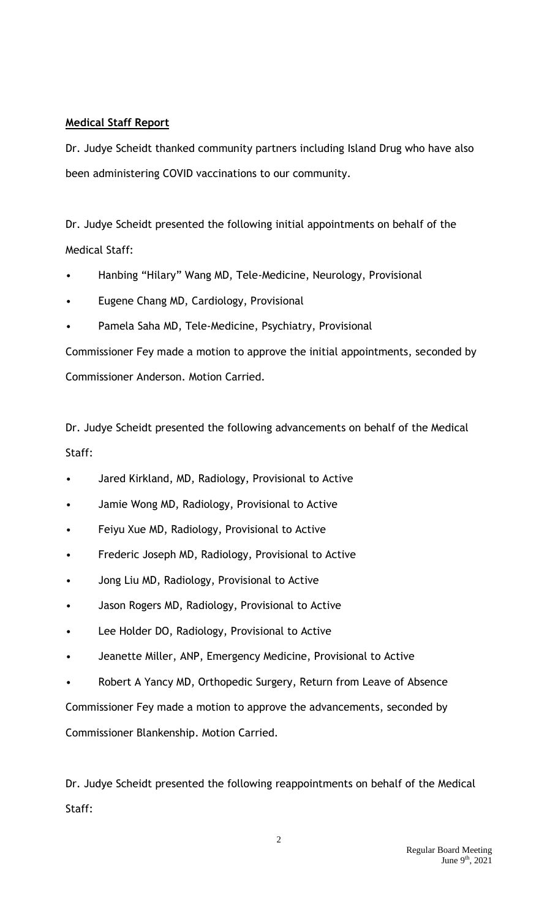# **Medical Staff Report**

Dr. Judye Scheidt thanked community partners including Island Drug who have also been administering COVID vaccinations to our community.

Dr. Judye Scheidt presented the following initial appointments on behalf of the Medical Staff:

- Hanbing "Hilary" Wang MD, Tele-Medicine, Neurology, Provisional
- Eugene Chang MD, Cardiology, Provisional
- Pamela Saha MD, Tele-Medicine, Psychiatry, Provisional

Commissioner Fey made a motion to approve the initial appointments, seconded by Commissioner Anderson. Motion Carried.

Dr. Judye Scheidt presented the following advancements on behalf of the Medical Staff:

- Jared Kirkland, MD, Radiology, Provisional to Active
- Jamie Wong MD, Radiology, Provisional to Active
- Feiyu Xue MD, Radiology, Provisional to Active
- Frederic Joseph MD, Radiology, Provisional to Active
- Jong Liu MD, Radiology, Provisional to Active
- Jason Rogers MD, Radiology, Provisional to Active
- Lee Holder DO, Radiology, Provisional to Active
- Jeanette Miller, ANP, Emergency Medicine, Provisional to Active
- Robert A Yancy MD, Orthopedic Surgery, Return from Leave of Absence

Commissioner Fey made a motion to approve the advancements, seconded by Commissioner Blankenship. Motion Carried.

Dr. Judye Scheidt presented the following reappointments on behalf of the Medical Staff: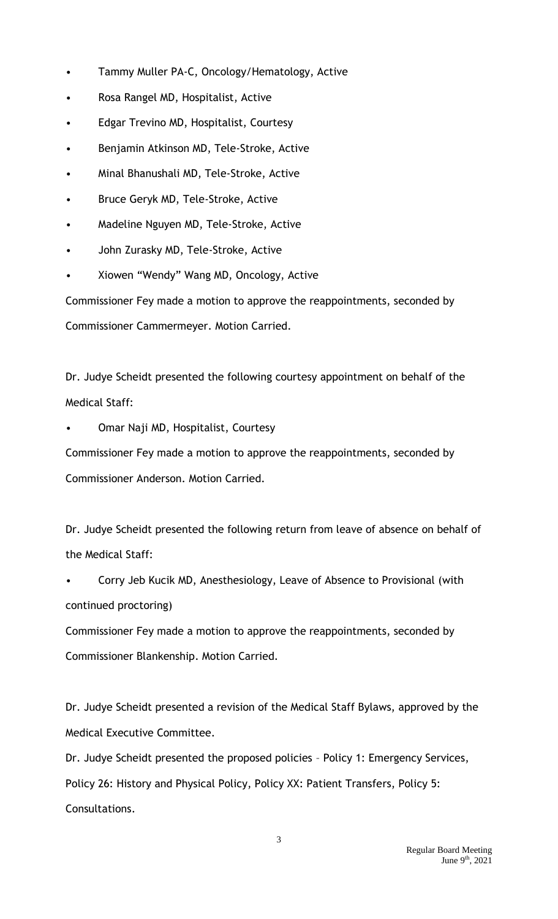- Tammy Muller PA-C, Oncology/Hematology, Active
- Rosa Rangel MD, Hospitalist, Active
- Edgar Trevino MD, Hospitalist, Courtesy
- Benjamin Atkinson MD, Tele-Stroke, Active
- Minal Bhanushali MD, Tele-Stroke, Active
- Bruce Geryk MD, Tele-Stroke, Active
- Madeline Nguyen MD, Tele-Stroke, Active
- John Zurasky MD, Tele-Stroke, Active
- Xiowen "Wendy" Wang MD, Oncology, Active

Commissioner Fey made a motion to approve the reappointments, seconded by Commissioner Cammermeyer. Motion Carried.

Dr. Judye Scheidt presented the following courtesy appointment on behalf of the Medical Staff:

• Omar Naji MD, Hospitalist, Courtesy

Commissioner Fey made a motion to approve the reappointments, seconded by Commissioner Anderson. Motion Carried.

Dr. Judye Scheidt presented the following return from leave of absence on behalf of the Medical Staff:

• Corry Jeb Kucik MD, Anesthesiology, Leave of Absence to Provisional (with continued proctoring)

Commissioner Fey made a motion to approve the reappointments, seconded by Commissioner Blankenship. Motion Carried.

Dr. Judye Scheidt presented a revision of the Medical Staff Bylaws, approved by the Medical Executive Committee.

Dr. Judye Scheidt presented the proposed policies – Policy 1: Emergency Services, Policy 26: History and Physical Policy, Policy XX: Patient Transfers, Policy 5: Consultations.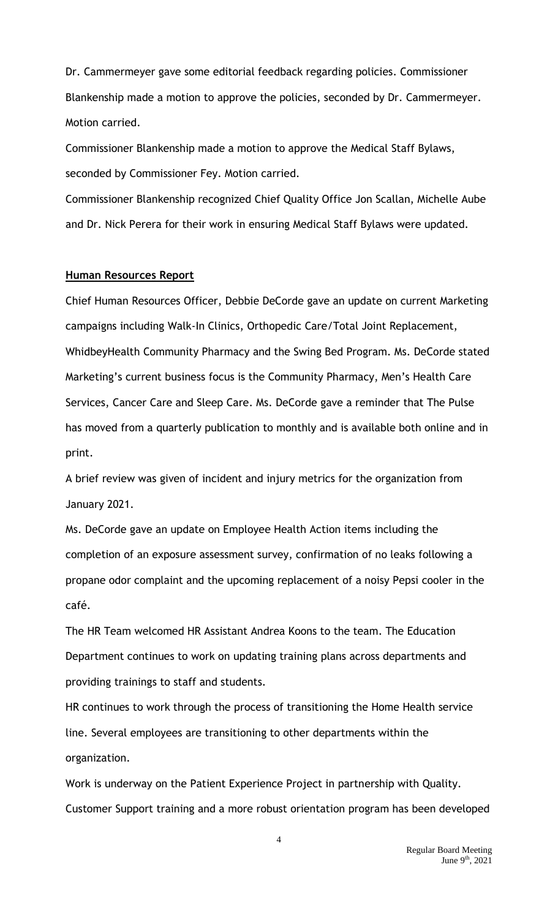Dr. Cammermeyer gave some editorial feedback regarding policies. Commissioner Blankenship made a motion to approve the policies, seconded by Dr. Cammermeyer. Motion carried.

Commissioner Blankenship made a motion to approve the Medical Staff Bylaws, seconded by Commissioner Fey. Motion carried.

Commissioner Blankenship recognized Chief Quality Office Jon Scallan, Michelle Aube and Dr. Nick Perera for their work in ensuring Medical Staff Bylaws were updated.

#### **Human Resources Report**

Chief Human Resources Officer, Debbie DeCorde gave an update on current Marketing campaigns including Walk-In Clinics, Orthopedic Care/Total Joint Replacement, WhidbeyHealth Community Pharmacy and the Swing Bed Program. Ms. DeCorde stated Marketing's current business focus is the Community Pharmacy, Men's Health Care Services, Cancer Care and Sleep Care. Ms. DeCorde gave a reminder that The Pulse has moved from a quarterly publication to monthly and is available both online and in print.

A brief review was given of incident and injury metrics for the organization from January 2021.

Ms. DeCorde gave an update on Employee Health Action items including the completion of an exposure assessment survey, confirmation of no leaks following a propane odor complaint and the upcoming replacement of a noisy Pepsi cooler in the café.

The HR Team welcomed HR Assistant Andrea Koons to the team. The Education Department continues to work on updating training plans across departments and providing trainings to staff and students.

HR continues to work through the process of transitioning the Home Health service line. Several employees are transitioning to other departments within the organization.

Work is underway on the Patient Experience Project in partnership with Quality. Customer Support training and a more robust orientation program has been developed

> Regular Board Meeting June 9th, 2021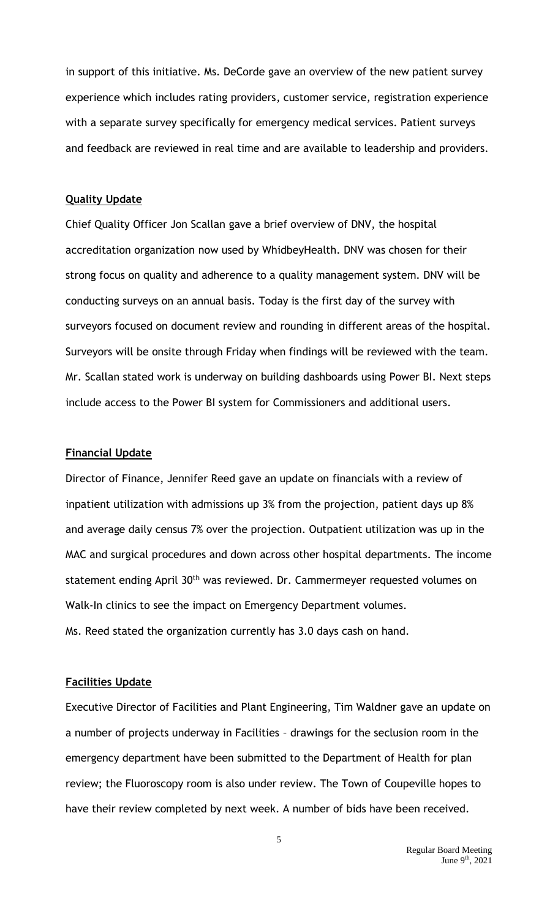in support of this initiative. Ms. DeCorde gave an overview of the new patient survey experience which includes rating providers, customer service, registration experience with a separate survey specifically for emergency medical services. Patient surveys and feedback are reviewed in real time and are available to leadership and providers.

### **Quality Update**

Chief Quality Officer Jon Scallan gave a brief overview of DNV, the hospital accreditation organization now used by WhidbeyHealth. DNV was chosen for their strong focus on quality and adherence to a quality management system. DNV will be conducting surveys on an annual basis. Today is the first day of the survey with surveyors focused on document review and rounding in different areas of the hospital. Surveyors will be onsite through Friday when findings will be reviewed with the team. Mr. Scallan stated work is underway on building dashboards using Power BI. Next steps include access to the Power BI system for Commissioners and additional users.

#### **Financial Update**

Director of Finance, Jennifer Reed gave an update on financials with a review of inpatient utilization with admissions up 3% from the projection, patient days up 8% and average daily census 7% over the projection. Outpatient utilization was up in the MAC and surgical procedures and down across other hospital departments. The income statement ending April 30<sup>th</sup> was reviewed. Dr. Cammermeyer requested volumes on Walk-In clinics to see the impact on Emergency Department volumes. Ms. Reed stated the organization currently has 3.0 days cash on hand.

#### **Facilities Update**

Executive Director of Facilities and Plant Engineering, Tim Waldner gave an update on a number of projects underway in Facilities – drawings for the seclusion room in the emergency department have been submitted to the Department of Health for plan review; the Fluoroscopy room is also under review. The Town of Coupeville hopes to have their review completed by next week. A number of bids have been received.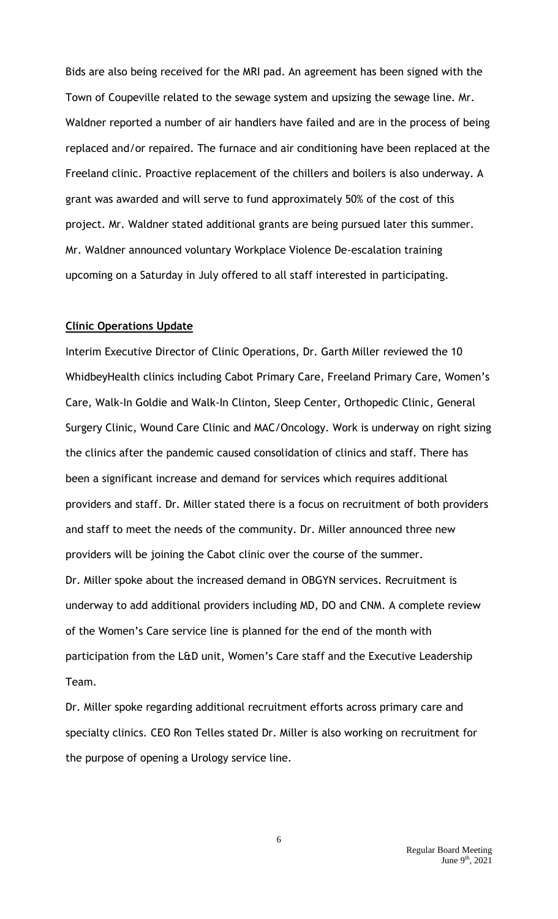Bids are also being received for the MRI pad. An agreement has been signed with the Town of Coupeville related to the sewage system and upsizing the sewage line. Mr. Waldner reported a number of air handlers have failed and are in the process of being replaced and/or repaired. The furnace and air conditioning have been replaced at the Freeland clinic. Proactive replacement of the chillers and boilers is also underway. A grant was awarded and will serve to fund approximately 50% of the cost of this project. Mr. Waldner stated additional grants are being pursued later this summer. Mr. Waldner announced voluntary Workplace Violence De-escalation training upcoming on a Saturday in July offered to all staff interested in participating.

# **Clinic Operations Update**

Interim Executive Director of Clinic Operations, Dr. Garth Miller reviewed the 10 WhidbeyHealth clinics including Cabot Primary Care, Freeland Primary Care, Women's Care, Walk-In Goldie and Walk-In Clinton, Sleep Center, Orthopedic Clinic, General Surgery Clinic, Wound Care Clinic and MAC/Oncology. Work is underway on right sizing the clinics after the pandemic caused consolidation of clinics and staff. There has been a significant increase and demand for services which requires additional providers and staff. Dr. Miller stated there is a focus on recruitment of both providers and staff to meet the needs of the community. Dr. Miller announced three new providers will be joining the Cabot clinic over the course of the summer. Dr. Miller spoke about the increased demand in OBGYN services. Recruitment is underway to add additional providers including MD, DO and CNM. A complete review of the Women's Care service line is planned for the end of the month with participation from the L&D unit, Women's Care staff and the Executive Leadership Team.

Dr. Miller spoke regarding additional recruitment efforts across primary care and specialty clinics. CEO Ron Telles stated Dr. Miller is also working on recruitment for the purpose of opening a Urology service line.

6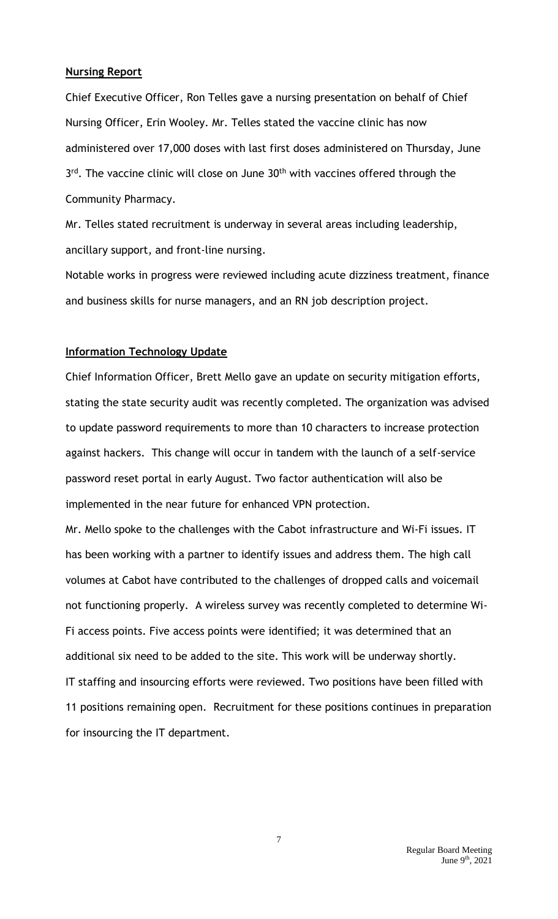### **Nursing Report**

Chief Executive Officer, Ron Telles gave a nursing presentation on behalf of Chief Nursing Officer, Erin Wooley. Mr. Telles stated the vaccine clinic has now administered over 17,000 doses with last first doses administered on Thursday, June 3<sup>rd</sup>. The vaccine clinic will close on June 30<sup>th</sup> with vaccines offered through the Community Pharmacy.

Mr. Telles stated recruitment is underway in several areas including leadership, ancillary support, and front-line nursing.

Notable works in progress were reviewed including acute dizziness treatment, finance and business skills for nurse managers, and an RN job description project.

### **Information Technology Update**

Chief Information Officer, Brett Mello gave an update on security mitigation efforts, stating the state security audit was recently completed. The organization was advised to update password requirements to more than 10 characters to increase protection against hackers. This change will occur in tandem with the launch of a self-service password reset portal in early August. Two factor authentication will also be implemented in the near future for enhanced VPN protection.

Mr. Mello spoke to the challenges with the Cabot infrastructure and Wi-Fi issues. IT has been working with a partner to identify issues and address them. The high call volumes at Cabot have contributed to the challenges of dropped calls and voicemail not functioning properly. A wireless survey was recently completed to determine Wi-Fi access points. Five access points were identified; it was determined that an additional six need to be added to the site. This work will be underway shortly. IT staffing and insourcing efforts were reviewed. Two positions have been filled with 11 positions remaining open. Recruitment for these positions continues in preparation for insourcing the IT department.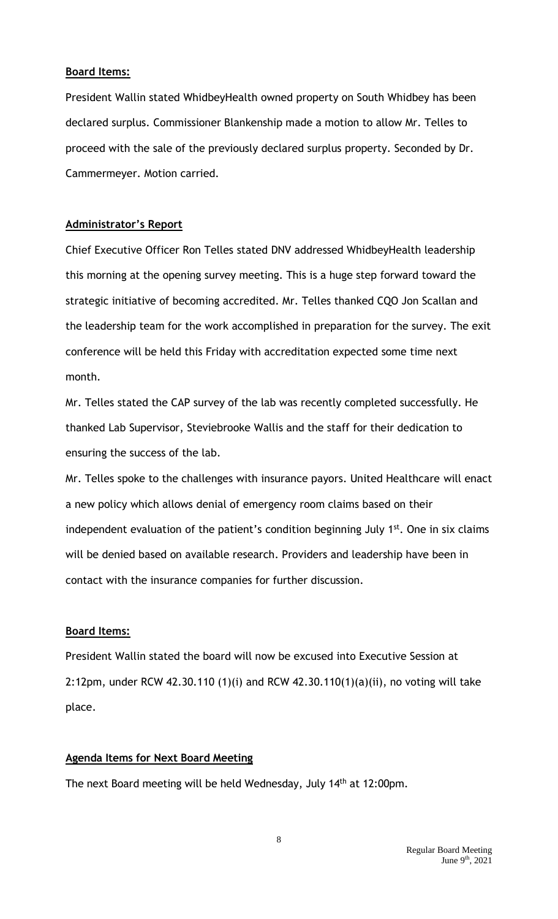### **Board Items:**

President Wallin stated WhidbeyHealth owned property on South Whidbey has been declared surplus. Commissioner Blankenship made a motion to allow Mr. Telles to proceed with the sale of the previously declared surplus property. Seconded by Dr. Cammermeyer. Motion carried.

# **Administrator's Report**

Chief Executive Officer Ron Telles stated DNV addressed WhidbeyHealth leadership this morning at the opening survey meeting. This is a huge step forward toward the strategic initiative of becoming accredited. Mr. Telles thanked CQO Jon Scallan and the leadership team for the work accomplished in preparation for the survey. The exit conference will be held this Friday with accreditation expected some time next month.

Mr. Telles stated the CAP survey of the lab was recently completed successfully. He thanked Lab Supervisor, Steviebrooke Wallis and the staff for their dedication to ensuring the success of the lab.

Mr. Telles spoke to the challenges with insurance payors. United Healthcare will enact a new policy which allows denial of emergency room claims based on their independent evaluation of the patient's condition beginning July  $1<sup>st</sup>$ . One in six claims will be denied based on available research. Providers and leadership have been in contact with the insurance companies for further discussion.

# **Board Items:**

President Wallin stated the board will now be excused into Executive Session at 2:12pm, under RCW 42.30.110 (1)(i) and RCW 42.30.110(1)(a)(ii), no voting will take place.

# **Agenda Items for Next Board Meeting**

The next Board meeting will be held Wednesday, July 14<sup>th</sup> at 12:00pm.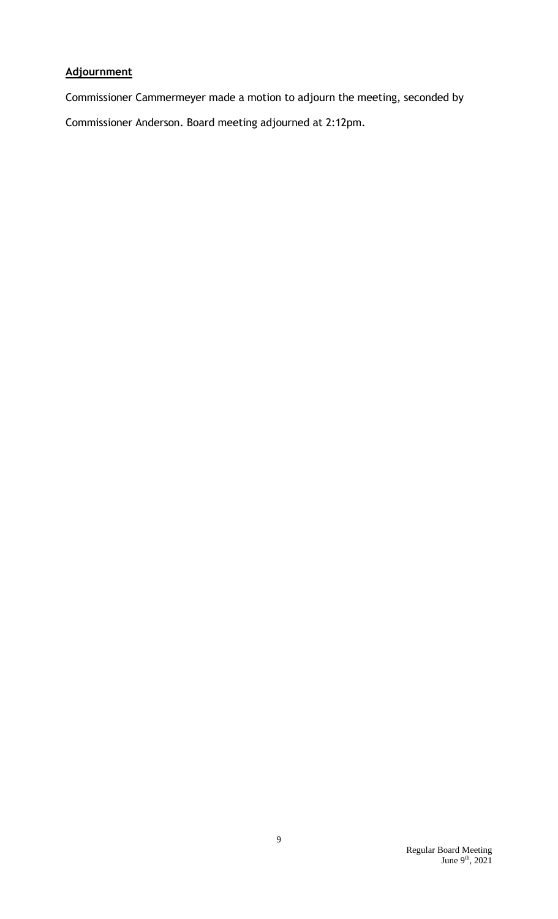# **Adjournment**

Commissioner Cammermeyer made a motion to adjourn the meeting, seconded by Commissioner Anderson. Board meeting adjourned at 2:12pm.